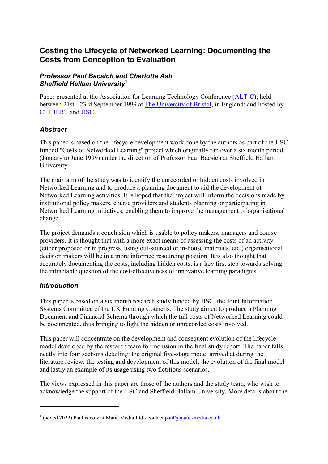# **Costing the Lifecycle of Networked Learning: Documenting the Costs from Conception to Evaluation**

#### *Professor Paul Bacsich and Charlotte Ash Sheffield Hallam Universit[y](#page-0-0)*<sup>1</sup>

Paper presented at the Association for Learning Technology Conference [\(ALT-C\)](http://www.ilrt.bris.ac.uk/alt-c99/); held between 21st - 23rd September 1999 at [The University of Bristol,](http://www.bris.ac.uk/) in England; and hosted by [CTI,](http://www.cti.ac.uk/) [ILRT](http://www.ilrt.bris.ac.uk/) and [JISC.](http://www.jisc.ac.uk/)

#### *Abstract*

This paper is based on the lifecycle development work done by the authors as part of the JISC funded "Costs of Networked Learning" project which originally ran over a six month period (January to June 1999) under the direction of Professor Paul Bacsich at Sheffield Hallam University.

The main aim of the study was to identify the unrecorded or hidden costs involved in Networked Learning and to produce a planning document to aid the development of Networked Learning activities. It is hoped that the project will inform the decisions made by institutional policy makers, course providers and students planning or participating in Networked Learning initiatives, enabling them to improve the management of organisational change.

The project demands a conclusion which is usable to policy makers, managers and course providers. It is thought that with a more exact means of assessing the costs of an activity (either proposed or in progress, using out-sourced or in-house materials, etc.) organisational decision makers will be in a more informed resourcing position. It is also thought that accurately documenting the costs, including hidden costs, is a key first step towards solving the intractable question of the cost-effectiveness of innovative learning paradigms.

#### *Introduction*

1

This paper is based on a six month research study funded by JISC, the Joint Information Systems Committee of the UK Funding Councils. The study aimed to produce a Planning Document and Financial Schema through which the full costs of Networked Learning could be documented, thus bringing to light the hidden or unrecorded costs involved.

This paper will concentrate on the development and consequent evolution of the lifecycle model developed by the research team for inclusion in the final study report. The paper falls neatly into four sections detailing: the original five-stage model arrived at during the literature review; the testing and development of this model; the evolution of the final model and lastly an example of its usage using two fictitious scenarios.

The views expressed in this paper are those of the authors and the study team, who wish to acknowledge the support of the JISC and Sheffield Hallam University. More details about the

<span id="page-0-0"></span><sup>&</sup>lt;sup>1</sup> (added 2022) Paul is now at Matic Media Ltd - contact  $paul@matic-media.co.uk$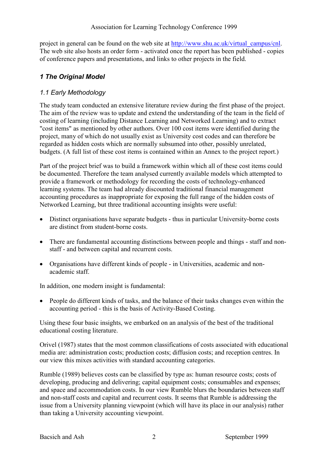project in general can be found on the web site at [http://www.shu.ac.uk/virtual\\_campus/cnl.](http://www.shu.ac.uk/virtual_campus/cnl/) The web site also hosts an order form - activated once the report has been published - copies of conference papers and presentations, and links to other projects in the field.

### *1 The Original Model*

#### *1.1 Early Methodology*

The study team conducted an extensive literature review during the first phase of the project. The aim of the review was to update and extend the understanding of the team in the field of costing of learning (including Distance Learning and Networked Learning) and to extract "cost items" as mentioned by other authors. Over 100 cost items were identified during the project, many of which do not usually exist as University cost codes and can therefore be regarded as hidden costs which are normally subsumed into other, possibly unrelated, budgets. (A full list of these cost items is contained within an Annex to the project report.)

Part of the project brief was to build a framework within which all of these cost items could be documented. Therefore the team analysed currently available models which attempted to provide a framework or methodology for recording the costs of technology-enhanced learning systems. The team had already discounted traditional financial management accounting procedures as inappropriate for exposing the full range of the hidden costs of Networked Learning, but three traditional accounting insights were useful:

- Distinct organisations have separate budgets thus in particular University-borne costs are distinct from student-borne costs.
- There are fundamental accounting distinctions between people and things staff and nonstaff - and between capital and recurrent costs.
- Organisations have different kinds of people in Universities, academic and nonacademic staff.

In addition, one modern insight is fundamental:

• People do different kinds of tasks, and the balance of their tasks changes even within the accounting period - this is the basis of Activity-Based Costing.

Using these four basic insights, we embarked on an analysis of the best of the traditional educational costing literature.

Orivel (1987) states that the most common classifications of costs associated with educational media are: administration costs; production costs; diffusion costs; and reception centres. In our view this mixes activities with standard accounting categories.

Rumble (1989) believes costs can be classified by type as: human resource costs; costs of developing, producing and delivering; capital equipment costs; consumables and expenses; and space and accommodation costs. In our view Rumble blurs the boundaries between staff and non-staff costs and capital and recurrent costs. It seems that Rumble is addressing the issue from a University planning viewpoint (which will have its place in our analysis) rather than taking a University accounting viewpoint.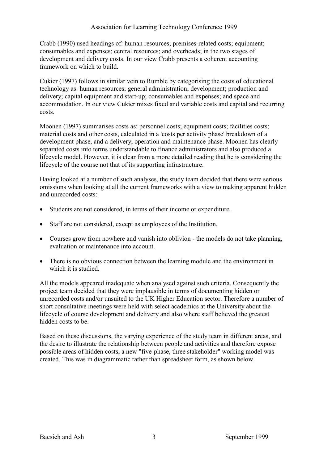Crabb (1990) used headings of: human resources; premises-related costs; equipment; consumables and expenses; central resources; and overheads; in the two stages of development and delivery costs. In our view Crabb presents a coherent accounting framework on which to build.

Cukier (1997) follows in similar vein to Rumble by categorising the costs of educational technology as: human resources; general administration; development; production and delivery; capital equipment and start-up; consumables and expenses; and space and accommodation. In our view Cukier mixes fixed and variable costs and capital and recurring costs.

Moonen (1997) summarises costs as: personnel costs; equipment costs; facilities costs; material costs and other costs, calculated in a 'costs per activity phase' breakdown of a development phase, and a delivery, operation and maintenance phase. Moonen has clearly separated costs into terms understandable to finance administrators and also produced a lifecycle model. However, it is clear from a more detailed reading that he is considering the lifecycle of the course not that of its supporting infrastructure.

Having looked at a number of such analyses, the study team decided that there were serious omissions when looking at all the current frameworks with a view to making apparent hidden and unrecorded costs:

- Students are not considered, in terms of their income or expenditure.
- Staff are not considered, except as employees of the Institution.
- Courses grow from nowhere and vanish into oblivion the models do not take planning, evaluation or maintenance into account.
- There is no obvious connection between the learning module and the environment in which it is studied.

All the models appeared inadequate when analysed against such criteria. Consequently the project team decided that they were implausible in terms of documenting hidden or unrecorded costs and/or unsuited to the UK Higher Education sector. Therefore a number of short consultative meetings were held with select academics at the University about the lifecycle of course development and delivery and also where staff believed the greatest hidden costs to be.

Based on these discussions, the varying experience of the study team in different areas, and the desire to illustrate the relationship between people and activities and therefore expose possible areas of hidden costs, a new "five-phase, three stakeholder" working model was created. This was in diagrammatic rather than spreadsheet form, as shown below.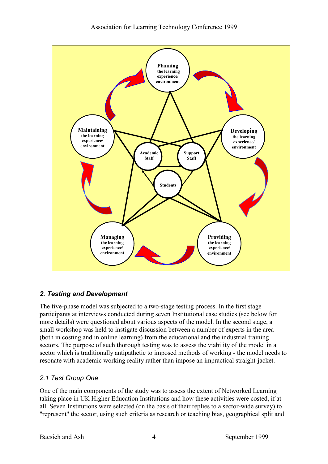

### *2. Testing and Development*

The five-phase model was subjected to a two-stage testing process. In the first stage participants at interviews conducted during seven Institutional case studies (see below for more details) were questioned about various aspects of the model. In the second stage, a small workshop was held to instigate discussion between a number of experts in the area (both in costing and in online learning) from the educational and the industrial training sectors. The purpose of such thorough testing was to assess the viability of the model in a sector which is traditionally antipathetic to imposed methods of working - the model needs to resonate with academic working reality rather than impose an impractical straight-jacket.

### *2.1 Test Group One*

One of the main components of the study was to assess the extent of Networked Learning taking place in UK Higher Education Institutions and how these activities were costed, if at all. Seven Institutions were selected (on the basis of their replies to a sector-wide survey) to "represent" the sector, using such criteria as research or teaching bias, geographical split and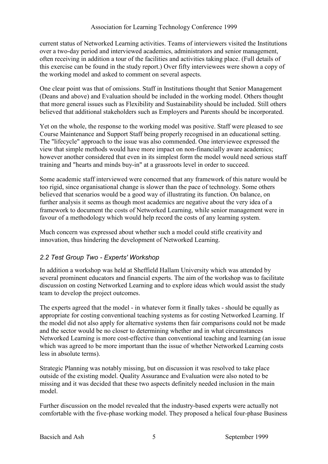current status of Networked Learning activities. Teams of interviewers visited the Institutions over a two-day period and interviewed academics, administrators and senior management, often receiving in addition a tour of the facilities and activities taking place. (Full details of this exercise can be found in the study report.) Over fifty interviewees were shown a copy of the working model and asked to comment on several aspects.

One clear point was that of omissions. Staff in Institutions thought that Senior Management (Deans and above) and Evaluation should be included in the working model. Others thought that more general issues such as Flexibility and Sustainability should be included. Still others believed that additional stakeholders such as Employers and Parents should be incorporated.

Yet on the whole, the response to the working model was positive. Staff were pleased to see Course Maintenance and Support Staff being properly recognised in an educational setting. The "lifecycle" approach to the issue was also commended. One interviewee expressed the view that simple methods would have more impact on non-financially aware academics; however another considered that even in its simplest form the model would need serious staff training and "hearts and minds buy-in" at a grassroots level in order to succeed.

Some academic staff interviewed were concerned that any framework of this nature would be too rigid, since organisational change is slower than the pace of technology. Some others believed that scenarios would be a good way of illustrating its function. On balance, on further analysis it seems as though most academics are negative about the very idea of a framework to document the costs of Networked Learning, while senior management were in favour of a methodology which would help record the costs of any learning system.

Much concern was expressed about whether such a model could stifle creativity and innovation, thus hindering the development of Networked Learning.

### *2.2 Test Group Two - Experts' Workshop*

In addition a workshop was held at Sheffield Hallam University which was attended by several prominent educators and financial experts. The aim of the workshop was to facilitate discussion on costing Networked Learning and to explore ideas which would assist the study team to develop the project outcomes.

The experts agreed that the model - in whatever form it finally takes - should be equally as appropriate for costing conventional teaching systems as for costing Networked Learning. If the model did not also apply for alternative systems then fair comparisons could not be made and the sector would be no closer to determining whether and in what circumstances Networked Learning is more cost-effective than conventional teaching and learning (an issue which was agreed to be more important than the issue of whether Networked Learning costs less in absolute terms).

Strategic Planning was notably missing, but on discussion it was resolved to take place outside of the existing model. Quality Assurance and Evaluation were also noted to be missing and it was decided that these two aspects definitely needed inclusion in the main model.

Further discussion on the model revealed that the industry-based experts were actually not comfortable with the five-phase working model. They proposed a helical four-phase Business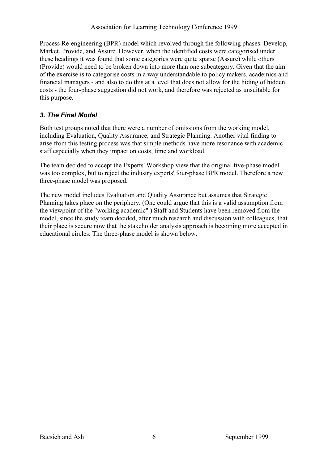Process Re-engineering (BPR) model which revolved through the following phases: Develop, Market, Provide, and Assure. However, when the identified costs were categorised under these headings it was found that some categories were quite sparse (Assure) while others (Provide) would need to be broken down into more than one subcategory. Given that the aim of the exercise is to categorise costs in a way understandable to policy makers, academics and financial managers - and also to do this at a level that does not allow for the hiding of hidden costs - the four-phase suggestion did not work, and therefore was rejected as unsuitable for this purpose.

### *3. The Final Model*

Both test groups noted that there were a number of omissions from the working model, including Evaluation, Quality Assurance, and Strategic Planning. Another vital finding to arise from this testing process was that simple methods have more resonance with academic staff especially when they impact on costs, time and workload.

The team decided to accept the Experts' Workshop view that the original five-phase model was too complex, but to reject the industry experts' four-phase BPR model. Therefore a new three-phase model was proposed.

The new model includes Evaluation and Quality Assurance but assumes that Strategic Planning takes place on the periphery. (One could argue that this is a valid assumption from the viewpoint of the "working academic".) Staff and Students have been removed from the model, since the study team decided, after much research and discussion with colleagues, that their place is secure now that the stakeholder analysis approach is becoming more accepted in educational circles. The three-phase model is shown below.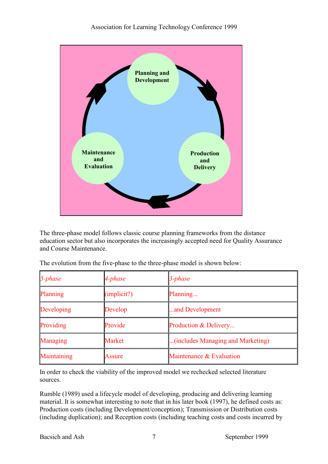

The three-phase model follows classic course planning frameworks from the distance education sector but also incorporates the increasingly accepted need for Quality Assurance and Course Maintenance.

| $5$ -phase  | 4-phase       | 3-phase                           |  |
|-------------|---------------|-----------------------------------|--|
| Planning    | (implicit?)   | Planning                          |  |
| Developing  | Develop       | and Development                   |  |
| Providing   | Provide       | Production & Delivery             |  |
| Managing    | <b>Market</b> | (includes Managing and Marketing) |  |
| Maintaining | Assure        | Maintenance & Evaluation          |  |

The evolution from the five-phase to the three-phase model is shown below:

In order to check the viability of the improved model we rechecked selected literature sources.

Rumble (1989) used a lifecycle model of developing, producing and delivering learning material. It is somewhat interesting to note that in his later book (1997), he defined costs as: Production costs (including Development/conception); Transmission or Distribution costs (including duplication); and Reception costs (including teaching costs and costs incurred by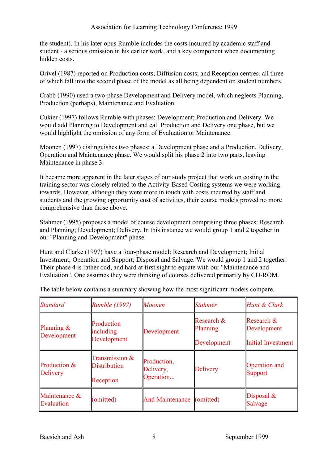the student). In his later opus Rumble includes the costs incurred by academic staff and student - a serious omission in his earlier work, and a key component when documenting hidden costs.

Orivel (1987) reported on Production costs; Diffusion costs; and Reception centres, all three of which fall into the second phase of the model as all being dependent on student numbers.

Crabb (1990) used a two-phase Development and Delivery model, which neglects Planning, Production (perhaps), Maintenance and Evaluation.

Cukier (1997) follows Rumble with phases: Development; Production and Delivery. We would add Planning to Development and call Production and Delivery one phase, but we would highlight the omission of any form of Evaluation or Maintenance.

Moonen (1997) distinguishes two phases: a Development phase and a Production, Delivery, Operation and Maintenance phase. We would split his phase 2 into two parts, leaving Maintenance in phase 3.

It became more apparent in the later stages of our study project that work on costing in the training sector was closely related to the Activity-Based Costing systems we were working towards. However, although they were more in touch with costs incurred by staff and students and the growing opportunity cost of activities, their course models proved no more comprehensive than those above.

Stahmer (1995) proposes a model of course development comprising three phases: Research and Planning; Development; Delivery. In this instance we would group 1 and 2 together in our "Planning and Development" phase.

Hunt and Clarke (1997) have a four-phase model: Research and Development; Initial Investment; Operation and Support; Disposal and Salvage. We would group 1 and 2 together. Their phase 4 is rather odd, and hard at first sight to equate with our "Maintenance and Evaluation". One assumes they were thinking of courses delivered primarily by CD-ROM.

| Standard                     | <b>Rumble (1997)</b>                               | Moonen                                | <b>Stahmer</b>                        | Hunt & Clark                                           |
|------------------------------|----------------------------------------------------|---------------------------------------|---------------------------------------|--------------------------------------------------------|
| Planning $\&$<br>Development | Production<br>including<br>Development             | Development                           | Research &<br>Planning<br>Development | Research &<br>Development<br><b>Initial Investment</b> |
| Production &<br>Delivery     | Transmission &<br><b>Distribution</b><br>Reception | Production,<br>Delivery,<br>Operation | <b>Delivery</b>                       | Operation and<br><b>Support</b>                        |
| Maintenance &<br>Evaluation  | (omitted)                                          | <b>And Maintenance</b>                | (omitted)                             | Disposal $\&$<br>Salvage                               |

The table below contains a summary showing how the most significant models compare.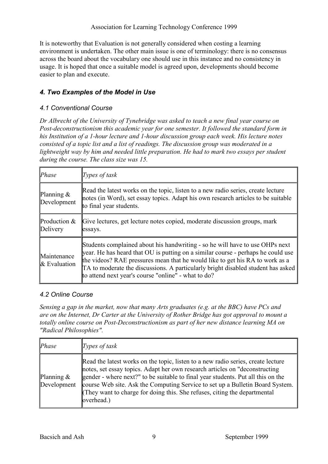It is noteworthy that Evaluation is not generally considered when costing a learning environment is undertaken. The other main issue is one of terminology: there is no consensus across the board about the vocabulary one should use in this instance and no consistency in usage. It is hoped that once a suitable model is agreed upon, developments should become easier to plan and execute.

### *4. Two Examples of the Model in Use*

#### *4.1 Conventional Course*

*Dr Albrecht of the University of Tynebridge was asked to teach a new final year course on Post-deconstructionism this academic year for one semester. It followed the standard form in his Institution of a 1-hour lecture and 1-hour discussion group each week. His lecture notes consisted of a topic list and a list of readings. The discussion group was moderated in a*  lightweight way by him and needed little preparation. He had to mark two essays per student *during the course. The class size was 15.*

| Phase                          | Types of task                                                                                                                                                                                                                                                                                                                                                                               |
|--------------------------------|---------------------------------------------------------------------------------------------------------------------------------------------------------------------------------------------------------------------------------------------------------------------------------------------------------------------------------------------------------------------------------------------|
| Planning $\&$<br>Development   | Read the latest works on the topic, listen to a new radio series, create lecture<br>notes (in Word), set essay topics. Adapt his own research articles to be suitable<br>to final year students.                                                                                                                                                                                            |
| Production $&$<br>Delivery     | Give lectures, get lecture notes copied, moderate discussion groups, mark<br>essays.                                                                                                                                                                                                                                                                                                        |
| Maintenance<br>$\&$ Evaluation | Students complained about his handwriting - so he will have to use OHPs next<br>year. He has heard that OU is putting on a similar course - perhaps he could use<br>the videos? RAE pressures mean that he would like to get his RA to work as a<br>TA to moderate the discussions. A particularly bright disabled student has asked<br>to attend next year's course "online" - what to do? |

#### *4.2 Online Course*

*Sensing a gap in the market, now that many Arts graduates (e.g. at the BBC) have PCs and are on the Internet, Dr Carter at the University of Rother Bridge has got approval to mount a totally online course on Post-Deconstructionism as part of her new distance learning MA on "Radical Philosophies".*

| Phase                        | Types of task                                                                                                                                                                                                                                                                                                                                                                                                                    |
|------------------------------|----------------------------------------------------------------------------------------------------------------------------------------------------------------------------------------------------------------------------------------------------------------------------------------------------------------------------------------------------------------------------------------------------------------------------------|
| Planning $\&$<br>Development | Read the latest works on the topic, listen to a new radio series, create lecture<br>notes, set essay topics. Adapt her own research articles on "deconstructing"<br>gender - where next?" to be suitable to final year students. Put all this on the<br>course Web site. Ask the Computing Service to set up a Bulletin Board System.<br>They want to charge for doing this. She refuses, citing the departmental<br>loverhead.) |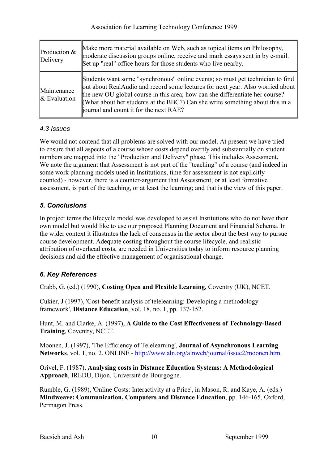| Production &<br>Delivery    | Make more material available on Web, such as topical items on Philosophy,<br>moderate discussion groups online, receive and mark essays sent in by e-mail.<br>Set up "real" office hours for those students who live nearby.                                                                                                                                                |
|-----------------------------|-----------------------------------------------------------------------------------------------------------------------------------------------------------------------------------------------------------------------------------------------------------------------------------------------------------------------------------------------------------------------------|
| Maintenance<br>& Evaluation | Students want some "synchronous" online events; so must get technician to find<br>out about RealAudio and record some lectures for next year. Also worried about<br>the new OU global course in this area; how can she differentiate her course?<br>(What about her students at the BBC?) Can she write something about this in a<br>journal and count it for the next RAE? |

#### *4.3 Issues*

We would not contend that all problems are solved with our model. At present we have tried to ensure that all aspects of a course whose costs depend overtly and substantially on student numbers are mapped into the "Production and Delivery" phase. This includes Assessment. We note the argument that Assessment is not part of the "teaching" of a course (and indeed in some work planning models used in Institutions, time for assessment is not explicitly counted) - however, there is a counter-argument that Assessment, or at least formative assessment, is part of the teaching, or at least the learning; and that is the view of this paper.

### *5. Conclusions*

In project terms the lifecycle model was developed to assist Institutions who do not have their own model but would like to use our proposed Planning Document and Financial Schema. In the wider context it illustrates the lack of consensus in the sector about the best way to pursue course development. Adequate costing throughout the course lifecycle, and realistic attribution of overhead costs, are needed in Universities today to inform resource planning decisions and aid the effective management of organisational change.

## *6. Key References*

Crabb, G. (ed.) (1990), **Costing Open and Flexible Learning**, Coventry (UK), NCET.

Cukier, J (1997), 'Cost-benefit analysis of telelearning: Developing a methodology framework', **Distance Education**, vol. 18, no. 1, pp. 137-152.

Hunt, M. and Clarke, A. (1997), **A Guide to the Cost Effectiveness of Technology-Based Training**, Coventry, NCET.

Moonen, J. (1997), 'The Efficiency of Telelearning', **Journal of Asynchronous Learning Networks**, vol. 1, no. 2. ONLINE -<http://www.aln.org/alnweb/journal/issue2/moonen.htm>

Orivel, F. (1987), **Analysing costs in Distance Education Systems: A Methodological Approach**, IREDU, Dijon, Université de Bourgogne.

Rumble, G. (1989), 'Online Costs: Interactivity at a Price', in Mason, R. and Kaye, A. (eds.) **Mindweave: Communication, Computers and Distance Education**, pp. 146-165, Oxford, Permagon Press.